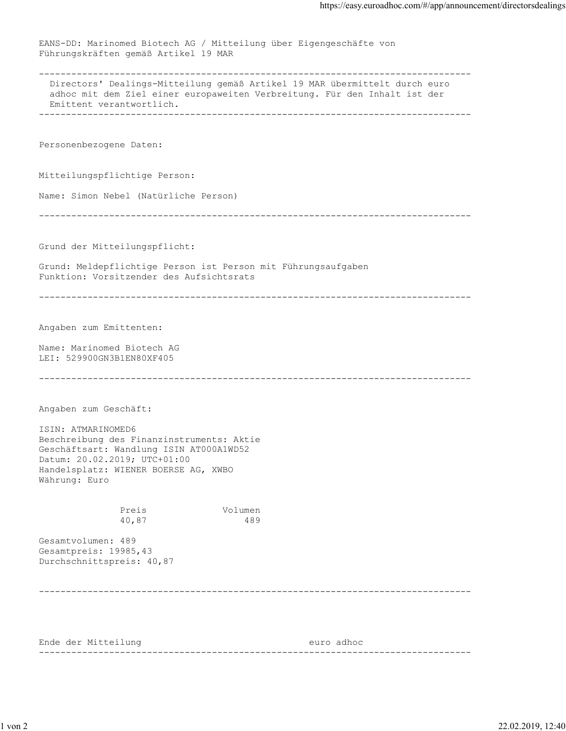EANS-DD: Marinomed Biotech AG / Mitteilung über Eigengeschäfte von Führungskräften gemäß Artikel 19 MAR -------------------------------------------------------------------------------- Directors' Dealings-Mitteilung gemäß Artikel 19 MAR übermittelt durch euro adhoc mit dem Ziel einer europaweiten Verbreitung. Für den Inhalt ist der Emittent verantwortlich. -------------------------------------------------------------------------------- Personenbezogene Daten: Mitteilungspflichtige Person: Name: Simon Nebel (Natürliche Person) -------------------------------------------------------------------------------- Grund der Mitteilungspflicht: Grund: Meldepflichtige Person ist Person mit Führungsaufgaben Funktion: Vorsitzender des Aufsichtsrats -------------------------------------------------------------------------------- Angaben zum Emittenten: Name: Marinomed Biotech AG LEI: 529900GN3B1EN80XF405 -------------------------------------------------------------------------------- Angaben zum Geschäft: ISIN: ATMARINOMED6 Beschreibung des Finanzinstruments: Aktie Geschäftsart: Wandlung ISIN AT000A1WD52 Datum: 20.02.2019; UTC+01:00 Handelsplatz: WIENER BOERSE AG, XWBO Währung: Euro Preis Volumen 40,87 489 Gesamtvolumen: 489 Gesamtpreis: 19985,43 Durchschnittspreis: 40,87 -------------------------------------------------------------------------------- Ende der Mitteilung euro adhoc --------------------------------------------------------------------------------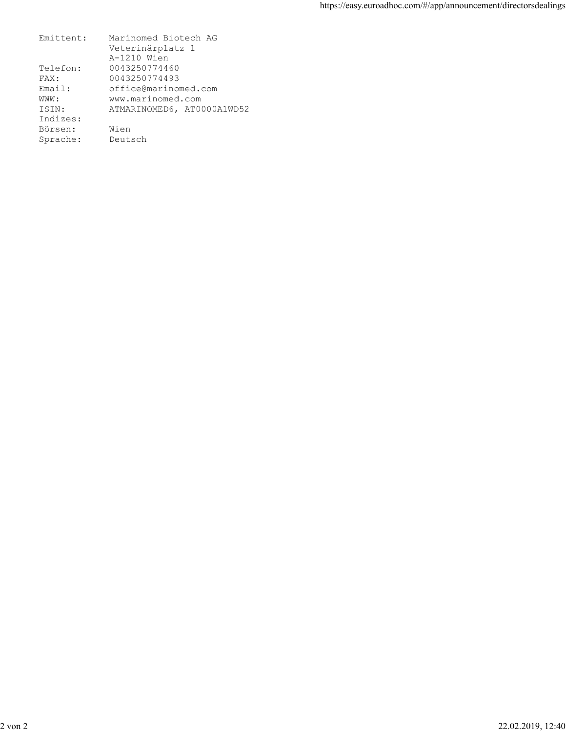| Emittent: | Marinomed Biotech AG       |
|-----------|----------------------------|
|           | Veterinärplatz 1           |
|           | A-1210 Wien                |
| Telefon:  | 0043250774460              |
| FAX:      | 0043250774493              |
| Email:    | office@marinomed.com       |
| WWW :     | www.marinomed.com          |
| ISIN:     | ATMARINOMED6, AT0000A1WD52 |
| Indizes:  |                            |
| Börsen:   | Wien                       |
| Sprache:  | Deutsch                    |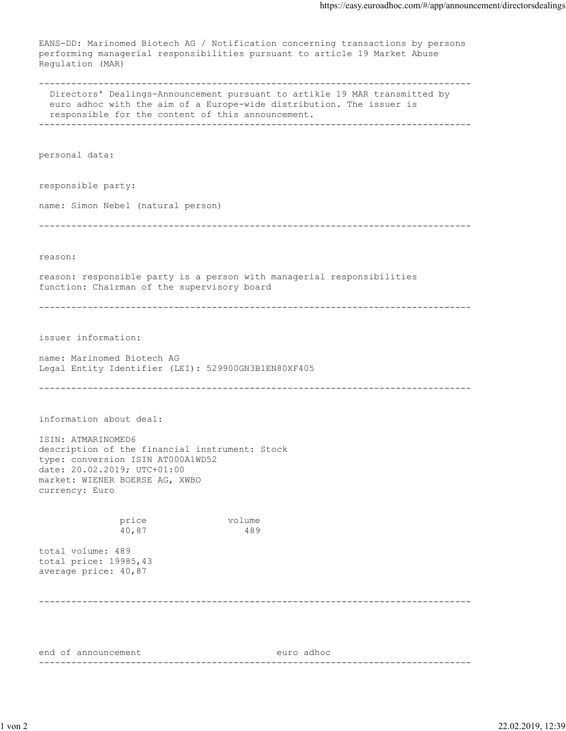EANS-DD: Marinomed Biotech AG / Notification concerning transactions by persons performing managerial responsibilities pursuant to article 19 Market Abuse Regulation (MAR) -------------------------------------------------------------------------------- Directors' Dealings-Announcement pursuant to artikle 19 MAR transmitted by euro adhoc with the aim of a Europe-wide distribution. The issuer is responsible for the content of this announcement. ------------------------------------------------------------------------------- personal data: responsible party: name: Simon Nebel (natural person) ------------------------------------------------------------------------------- reason: reason: responsible party is a person with managerial responsibilities function: Chairman of the supervisory board ------------------------------------------------------------------------------- issuer information: name: Marinomed Biotech AG Legal Entity Identifier (LEI): 529900GN3B1EN80XF405 ------------------------------------------------------------------------------- information about deal: ISIN: ATMARINOMED6 description of the financial instrument: Stock type: conversion ISIN AT000A1WD52 date: 20.02.2019; UTC+01:00 market: WIENER BOERSE AG, XWBO currency: Euro price volume 40,87 489 total volume: 489 total price: 19985,43 average price: 40,87 ------------------------------------------------------------------------------- end of announcement euro adhoc --------------------------------------------------------------------------------